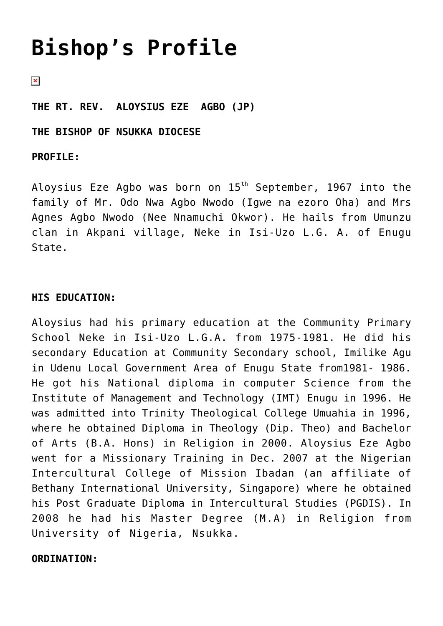# **[Bishop's Profile](https://adonsk.com/bishops-profile/)**

 $\pmb{\times}$ 

**THE RT. REV. ALOYSIUS EZE AGBO (JP)**

**THE BISHOP OF NSUKKA DIOCESE**

## **PROFILE:**

Aloysius Eze Agbo was born on 15<sup>th</sup> September, 1967 into the family of Mr. Odo Nwa Agbo Nwodo (Igwe na ezoro Oha) and Mrs Agnes Agbo Nwodo (Nee Nnamuchi Okwor). He hails from Umunzu clan in Akpani village, Neke in Isi-Uzo L.G. A. of Enugu State.

# **HIS EDUCATION:**

Aloysius had his primary education at the Community Primary School Neke in Isi-Uzo L.G.A. from 1975-1981. He did his secondary Education at Community Secondary school, Imilike Agu in Udenu Local Government Area of Enugu State from1981- 1986. He got his National diploma in computer Science from the Institute of Management and Technology (IMT) Enugu in 1996. He was admitted into Trinity Theological College Umuahia in 1996, where he obtained Diploma in Theology (Dip. Theo) and Bachelor of Arts (B.A. Hons) in Religion in 2000. Aloysius Eze Agbo went for a Missionary Training in Dec. 2007 at the Nigerian Intercultural College of Mission Ibadan (an affiliate of Bethany International University, Singapore) where he obtained his Post Graduate Diploma in Intercultural Studies (PGDIS). In 2008 he had his Master Degree (M.A) in Religion from University of Nigeria, Nsukka.

## **ORDINATION:**